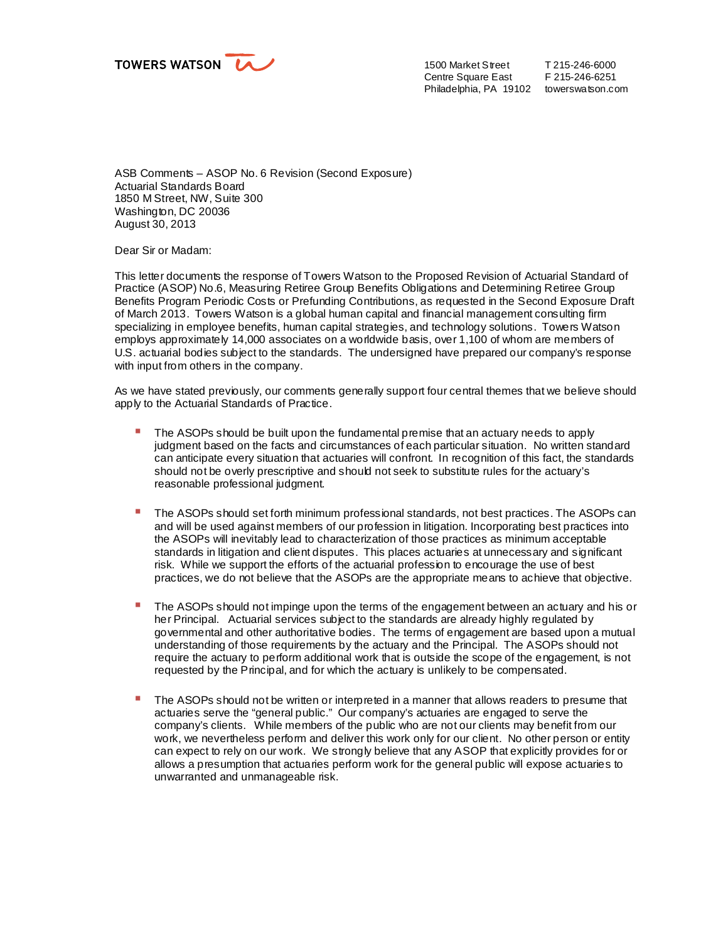

1500 Market Street Centre Square East Philadelphia, PA 19102 towerswatson.com

T 215-246-6000 F 215-246-6251

ASB Comments – ASOP No. 6 Revision (Second Exposure) Actuarial Standards Board 1850 M Street, NW, Suite 300 Washington, DC 20036 August 30, 2013

Dear Sir or Madam:

This letter documents the response of Towers Watson to the Proposed Revision of Actuarial Standard of Practice (ASOP) No.6, Measuring Retiree Group Benefits Obligations and Determining Retiree Group Benefits Program Periodic Costs or Prefunding Contributions, as requested in the Second Exposure Draft of March 2013. Towers Watson is a global human capital and financial management consulting firm specializing in employee benefits, human capital strategies, and technology solutions. Towers Watson employs approximately 14,000 associates on a worldwide basis, over 1,100 of whom are members of U.S. actuarial bodies subject to the standards. The undersigned have prepared our company's response with input from others in the company.

As we have stated previously, our comments generally support four central themes that we believe should apply to the Actuarial Standards of Practice.

- The ASOPs should be built upon the fundamental premise that an actuary needs to apply judgment based on the facts and circumstances of each particular situation. No written standard can anticipate every situation that actuaries will confront. In recognition of this fact, the standards should not be overly prescriptive and should not seek to substitute rules for the actuary's reasonable professional judgment.
- § The ASOPs should set forth minimum professional standards, not best practices. The ASOPs can and will be used against members of our profession in litigation. Incorporating best practices into the ASOPs will inevitably lead to characterization of those practices as minimum acceptable standards in litigation and client disputes. This places actuaries at unnecessary and significant risk. While we support the efforts of the actuarial profession to encourage the use of best practices, we do not believe that the ASOPs are the appropriate means to achieve that objective.
- The ASOPs should not impinge upon the terms of the engagement between an actuary and his or her Principal. Actuarial services subject to the standards are already highly regulated by governmental and other authoritative bodies. The terms of engagement are based upon a mutual understanding of those requirements by the actuary and the Principal. The ASOPs should not require the actuary to perform additional work that is outside the scope of the engagement, is not requested by the Principal, and for which the actuary is unlikely to be compensated.
- The ASOPs should not be written or interpreted in a manner that allows readers to presume that actuaries serve the "general public." Our company's actuaries are engaged to serve the company's clients. While members of the public who are not our clients may benefit from our work, we nevertheless perform and deliver this work only for our client. No other person or entity can expect to rely on our work. We strongly believe that any ASOP that explicitly provides for or allows a presumption that actuaries perform work for the general public will expose actuaries to unwarranted and unmanageable risk.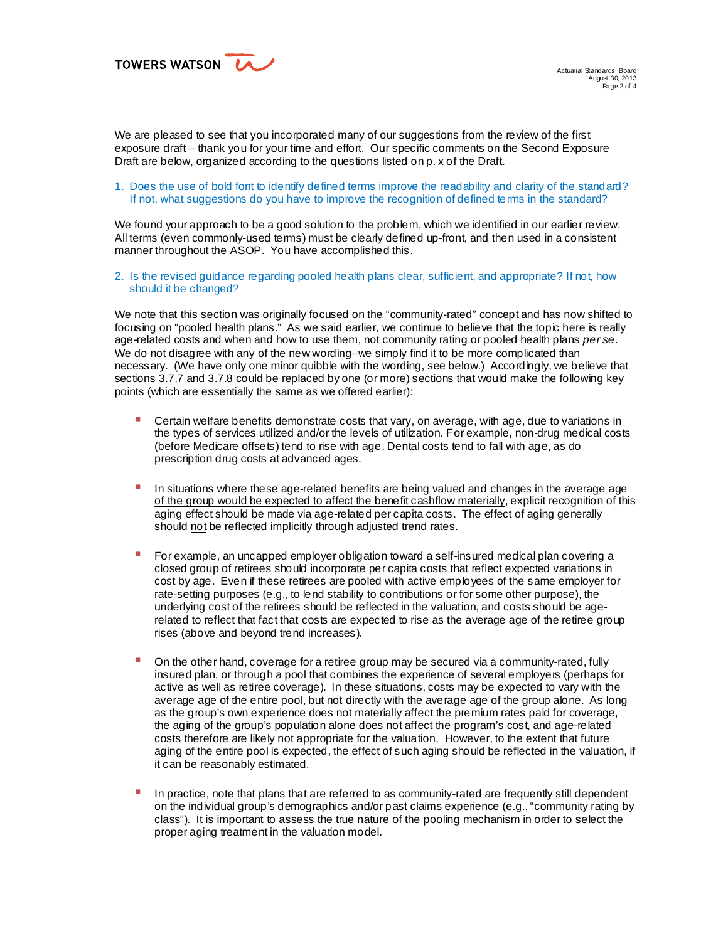TOWERS WATSON LA

Actuarial Standards Board August 30, 2013 Page 2 of 4

We are pleased to see that you incorporated many of our suggestions from the review of the first exposure draft – thank you for your time and effort. Our specific comments on the Second Exposure Draft are below, organized according to the questions listed on p. x of the Draft.

## 1. Does the use of bold font to identify defined terms improve the readability and clarity of the standard? If not, what suggestions do you have to improve the recognition of defined terms in the standard?

We found your approach to be a good solution to the problem, which we identified in our earlier review. All terms (even commonly-used terms) must be clearly defined up-front, and then used in a consistent manner throughout the ASOP. You have accomplished this.

2. Is the revised guidance regarding pooled health plans clear, sufficient, and appropriate? If not, how should it be changed?

We note that this section was originally focused on the "community-rated" concept and has now shifted to focusing on "pooled health plans." As we said earlier, we continue to believe that the topic here is really age-related costs and when and how to use them, not community rating or pooled health plans *per se*. We do not disagree with any of the new wording-we simply find it to be more complicated than necessary. (We have only one minor quibble with the wording, see below.) Accordingly, we believe that sections 3.7.7 and 3.7.8 could be replaced by one (or more) sections that would make the following key points (which are essentially the same as we offered earlier):

- § Certain welfare benefits demonstrate costs that vary, on average, with age, due to variations in the types of services utilized and/or the levels of utilization. For example, non-drug medical costs (before Medicare offsets) tend to rise with age. Dental costs tend to fall with age, as do prescription drug costs at advanced ages.
- In situations where these age-related benefits are being valued and changes in the average age of the group would be expected to affect the benefit cashflow materially, explicit recognition of this aging effect should be made via age-related per capita costs. The effect of aging generally should not be reflected implicitly through adjusted trend rates.
- For example, an uncapped employer obligation toward a self-insured medical plan covering a closed group of retirees should incorporate per capita costs that reflect expected variations in cost by age. Even if these retirees are pooled with active employees of the same employer for rate-setting purposes (e.g., to lend stability to contributions or for some other purpose), the underlying cost of the retirees should be reflected in the valuation, and costs should be agerelated to reflect that fact that costs are expected to rise as the average age of the retiree group rises (above and beyond trend increases).
- On the other hand, coverage for a retiree group may be secured via a community-rated, fully insured plan, or through a pool that combines the experience of several employers (perhaps for active as well as retiree coverage). In these situations, costs may be expected to vary with the average age of the entire pool, but not directly with the average age of the group alone. As long as the group's own experience does not materially affect the premium rates paid for coverage, the aging of the group's population alone does not affect the program's cost, and age-related costs therefore are likely not appropriate for the valuation. However, to the extent that future aging of the entire pool is expected, the effect of such aging should be reflected in the valuation, if it can be reasonably estimated.
- In practice, note that plans that are referred to as community-rated are frequently still dependent on the individual group's demographics and/or past claims experience (e.g., "community rating by class"). It is important to assess the true nature of the pooling mechanism in order to select the proper aging treatment in the valuation model.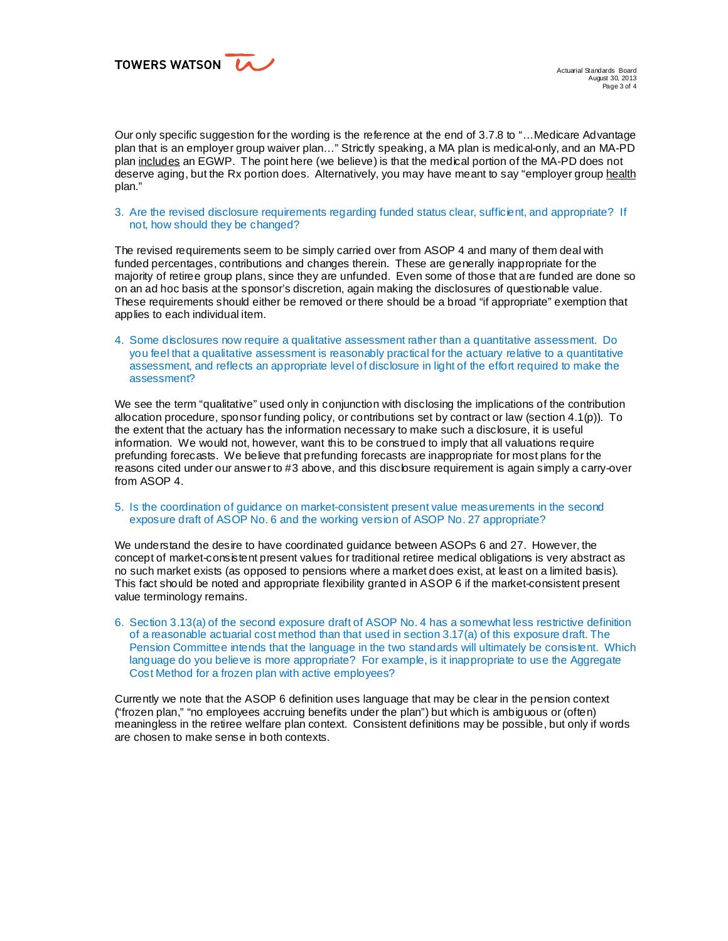TOWERS WATSON LA

Our only specific suggestion for the wording is the reference at the end of 3.7.8 to "…Medicare Advantage plan that is an employer group waiver plan…" Strictly speaking, a MA plan is medical-only, and an MA-PD plan includes an EGWP. The point here (we believe) is that the medical portion of the MA-PD does not deserve aging, but the Rx portion does. Alternatively, you may have meant to say "employer group health plan."

3. Are the revised disclosure requirements regarding funded status clear, sufficient, and appropriate? If not, how should they be changed?

The revised requirements seem to be simply carried over from ASOP 4 and many of them deal with funded percentages, contributions and changes therein. These are generally inappropriate for the majority of retiree group plans, since they are unfunded. Even some of those that are funded are done so on an ad hoc basis at the sponsor's discretion, again making the disclosures of questionable value. These requirements should either be removed or there should be a broad "if appropriate" exemption that applies to each individual item.

4. Some disclosures now require a qualitative assessment rather than a quantitative assessment. Do you feel that a qualitative assessment is reasonably practical for the actuary relative to a quantitative assessment, and reflects an appropriate level of disclosure in light of the effort required to make the assessment?

We see the term "qualitative" used only in conjunction with disclosing the implications of the contribution allocation procedure, sponsor funding policy, or contributions set by contract or law (section 4.1(p)). To the extent that the actuary has the information necessary to make such a disclosure, it is useful information. We would not, however, want this to be construed to imply that all valuations require prefunding forecasts. We believe that prefunding forecasts are inappropriate for most plans for the reasons cited under our answer to #3 above, and this disclosure requirement is again simply a carry-over from ASOP 4.

## 5. Is the coordination of guidance on market-consistent present value measurements in the second exposure draft of ASOP No. 6 and the working version of ASOP No. 27 appropriate?

We understand the desire to have coordinated guidance between ASOPs 6 and 27. However, the concept of market-consistent present values for traditional retiree medical obligations is very abstract as no such market exists (as opposed to pensions where a market does exist, at least on a limited basis). This fact should be noted and appropriate flexibility granted in ASOP 6 if the market-consistent present value terminology remains.

6. Section 3.13(a) of the second exposure draft of ASOP No. 4 has a somewhat less restrictive definition of a reasonable actuarial cost method than that used in section 3.17(a) of this exposure draft. The Pension Committee intends that the language in the two standards will ultimately be consistent. Which language do you believe is more appropriate? For example, is it inappropriate to use the Aggregate Cost Method for a frozen plan with active employees?

Currently we note that the ASOP 6 definition uses language that may be clear in the pension context ("frozen plan," "no employees accruing benefits under the plan") but which is ambiguous or (often) meaningless in the retiree welfare plan context. Consistent definitions may be possible, but only if words are chosen to make sense in both contexts.